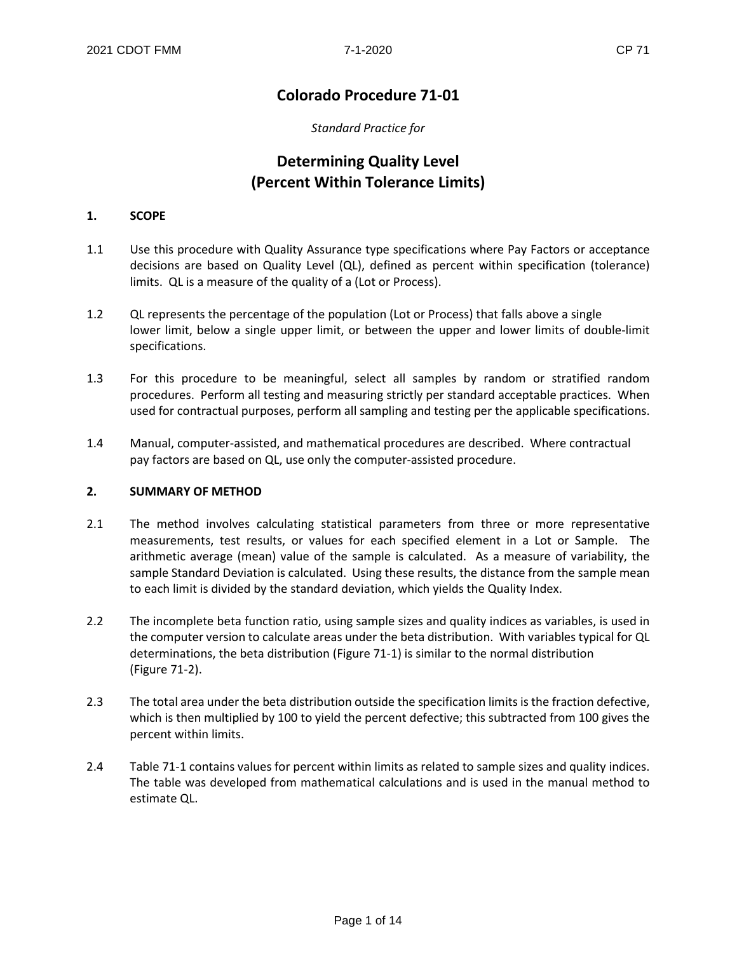## **Colorado Procedure 71-01**

#### *Standard Practice for*

# **Determining Quality Level (Percent Within Tolerance Limits)**

#### **1. SCOPE**

- 1.1 Use this procedure with Quality Assurance type specifications where Pay Factors or acceptance decisions are based on Quality Level (QL), defined as percent within specification (tolerance) limits. QL is a measure of the quality of a (Lot or Process).
- 1.2 QL represents the percentage of the population (Lot or Process) that falls above a single lower limit, below a single upper limit, or between the upper and lower limits of double-limit specifications.
- 1.3 For this procedure to be meaningful, select all samples by random or stratified random procedures. Perform all testing and measuring strictly per standard acceptable practices. When used for contractual purposes, perform all sampling and testing per the applicable specifications.
- 1.4 Manual, computer-assisted, and mathematical procedures are described. Where contractual pay factors are based on QL, use only the computer-assisted procedure.

#### **2. SUMMARY OF METHOD**

- 2.1 The method involves calculating statistical parameters from three or more representative measurements, test results, or values for each specified element in a Lot or Sample. The arithmetic average (mean) value of the sample is calculated. As a measure of variability, the sample Standard Deviation is calculated. Using these results, the distance from the sample mean to each limit is divided by the standard deviation, which yields the Quality Index.
- 2.2 The incomplete beta function ratio, using sample sizes and quality indices as variables, is used in the computer version to calculate areas under the beta distribution. With variables typical for QL determinations, the beta distribution (Figure 71-1) is similar to the normal distribution (Figure 71-2).
- 2.3 The total area under the beta distribution outside the specification limits is the fraction defective, which is then multiplied by 100 to yield the percent defective; this subtracted from 100 gives the percent within limits.
- 2.4 Table 71-1 contains values for percent within limits as related to sample sizes and quality indices. The table was developed from mathematical calculations and is used in the manual method to estimate QL.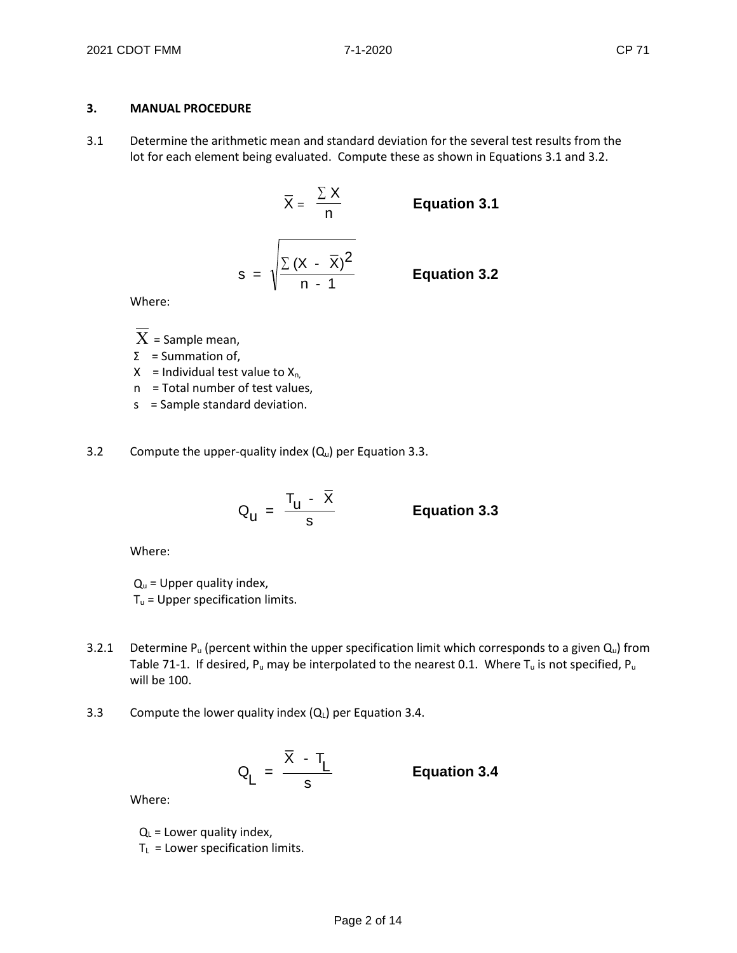#### **3. MANUAL PROCEDURE**

3.1 Determine the arithmetic mean and standard deviation for the several test results from the lot for each element being evaluated. Compute these as shown in Equations 3.1 and 3.2.

$$
\overline{X} = \frac{\sum X}{n}
$$
 Equation 3.1  

$$
s = \sqrt{\frac{\sum (X - \overline{X})^2}{n - 1}}
$$
 Equation 3.2

Where:

 $\overline{X}$  = Sample mean,

Σ = Summation of,

 $X =$  Individual test value to  $X_{n}$ ,

n = Total number of test values,

s = Sample standard deviation.

3.2 Compute the upper-quality index  $(Q_u)$  per Equation 3.3.

$$
Q_{\rm u} = \frac{T_{\rm u} - \bar{X}}{s}
$$
 Equation 3.3

Where:

 $Q_u$  = Upper quality index,  $T_u$  = Upper specification limits.

- 3.2.1 Determine P<sub>u</sub> (percent within the upper specification limit which corresponds to a given  $Q_u$ ) from Table 71-1. If desired,  $P_u$  may be interpolated to the nearest 0.1. Where  $T_u$  is not specified,  $P_u$ will be 100.
- 3.3 Compute the lower quality index  $(Q_L)$  per Equation 3.4.

$$
Q_L = \frac{\overline{X} - T_L}{s}
$$
 Equation 3.4

Where:

 $Q_L$  = Lower quality index,  $T_L$  = Lower specification limits.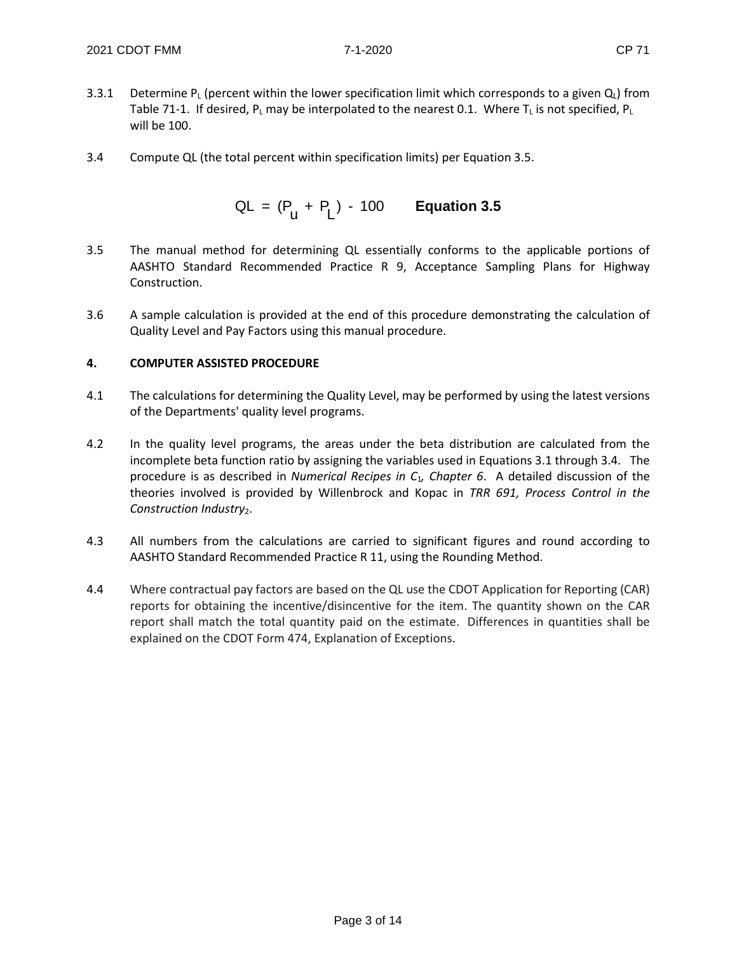- 3.3.1 Determine P<sub>L</sub> (percent within the lower specification limit which corresponds to a given  $Q_L$ ) from Table 71-1. If desired,  $P_L$  may be interpolated to the nearest 0.1. Where  $T_L$  is not specified,  $P_L$ will be 100.
- 3.4 Compute QL (the total percent within specification limits) per Equation 3.5.

$$
QL = (P_u + P_L) - 100
$$
 Equation 3.5

- 3.5 The manual method for determining QL essentially conforms to the applicable portions of AASHTO Standard Recommended Practice R 9, Acceptance Sampling Plans for Highway Construction.
- 3.6 A sample calculation is provided at the end of this procedure demonstrating the calculation of Quality Level and Pay Factors using this manual procedure.

#### **4. COMPUTER ASSISTED PROCEDURE**

- 4.1 The calculations for determining the Quality Level, may be performed by using the latest versions of the Departments' quality level programs.
- 4.2 In the quality level programs, the areas under the beta distribution are calculated from the incomplete beta function ratio by assigning the variables used in Equations 3.1 through 3.4. The procedure is as described in *Numerical Recipes in C*1*, Chapter 6*. A detailed discussion of the theories involved is provided by Willenbrock and Kopac in *TRR 691, Process Control in the*  Construction Industry<sub>2</sub>.
- 4.3 All numbers from the calculations are carried to significant figures and round according to AASHTO Standard Recommended Practice R 11, using the Rounding Method.
- 4.4 Where contractual pay factors are based on the QL use the CDOT Application for Reporting (CAR) reports for obtaining the incentive/disincentive for the item. The quantity shown on the CAR report shall match the total quantity paid on the estimate. Differences in quantities shall be explained on the CDOT Form 474, Explanation of Exceptions.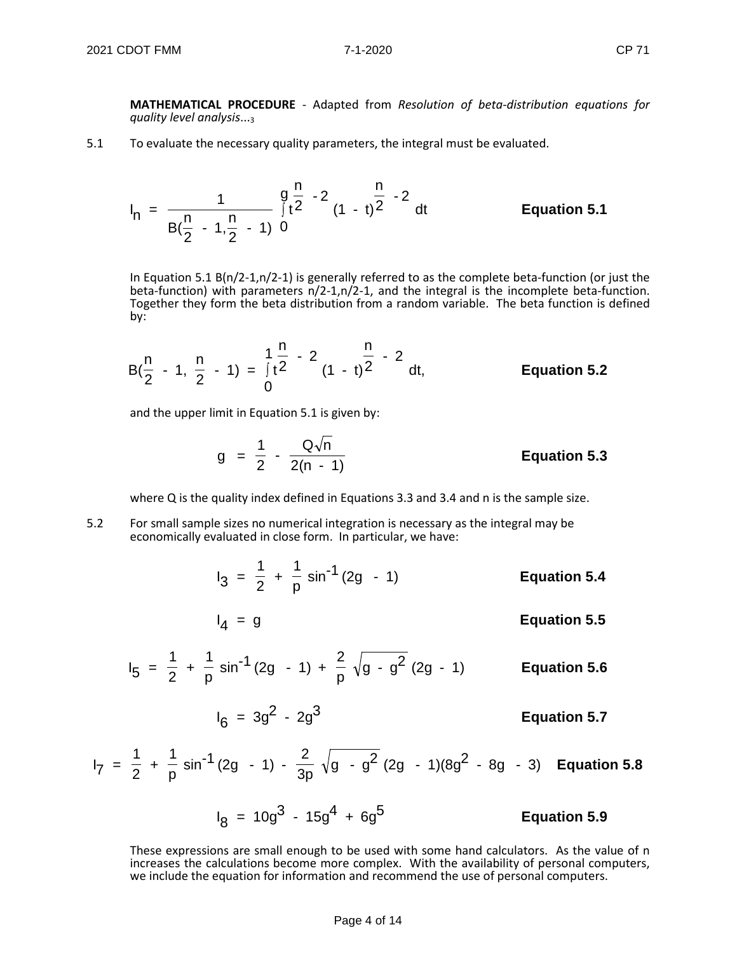**MATHEMATICAL PROCEDURE** - Adapted from *Resolution of beta-distribution equations for quality level analysis*...3

5.1 To evaluate the necessary quality parameters, the integral must be evaluated.

$$
I_n = \frac{1}{B(\frac{n}{2} - 1, \frac{n}{2} - 1)} \int_{0}^{\frac{n}{2}} t^{\frac{n}{2} - 2} (1 - t)^{\frac{n}{2} - 2} dt
$$
 Equation 5.1

In Equation 5.1 B(n/2-1,n/2-1) is generally referred to as the complete beta-function (or just the beta-function) with parameters n/2-1,n/2-1, and the integral is the incomplete beta-function. Together they form the beta distribution from a random variable. The beta function is defined by:

$$
B(\frac{n}{2} - 1, \frac{n}{2} - 1) = \int_{0}^{1} \frac{n}{2} - 2 \frac{n}{(1 - t)^2} - 2 \ dt,
$$
 Equation 5.2

and the upper limit in Equation 5.1 is given by:

$$
g = \frac{1}{2} - \frac{Q\sqrt{n}}{2(n - 1)}
$$
 Equation 5.3

where Q is the quality index defined in Equations 3.3 and 3.4 and n is the sample size.

- 5.2 For small sample sizes no numerical integration is necessary as the integral may be economically evaluated in close form. In particular, we have:
	- $I_3 = \frac{1}{2}$ + 1  $\frac{1}{p}$  sin<sup>-1</sup> (2g - 1) **Equation 5.4**

$$
I_4 = g
$$
 **Equation 5.5**

$$
I_5 = \frac{1}{2} + \frac{1}{p} \sin^{-1}(2g - 1) + \frac{2}{p} \sqrt{g - g^2} (2g - 1)
$$
 Equation 5.6

$$
I_6 = 3g^2 - 2g^3
$$
 **Equation 5.7**

$$
I_7 = \frac{1}{2} + \frac{1}{p} \sin^{-1}(2g - 1) - \frac{2}{3p} \sqrt{g - g^2} (2g - 1)(8g^2 - 8g - 3)
$$
 Equation 5.8

 $I_8 = 10g^3 - 15g^4 + 6g^5$  **Equation 5.9** 

These expressions are small enough to be used with some hand calculators. As the value of n increases the calculations become more complex. With the availability of personal computers, we include the equation for information and recommend the use of personal computers.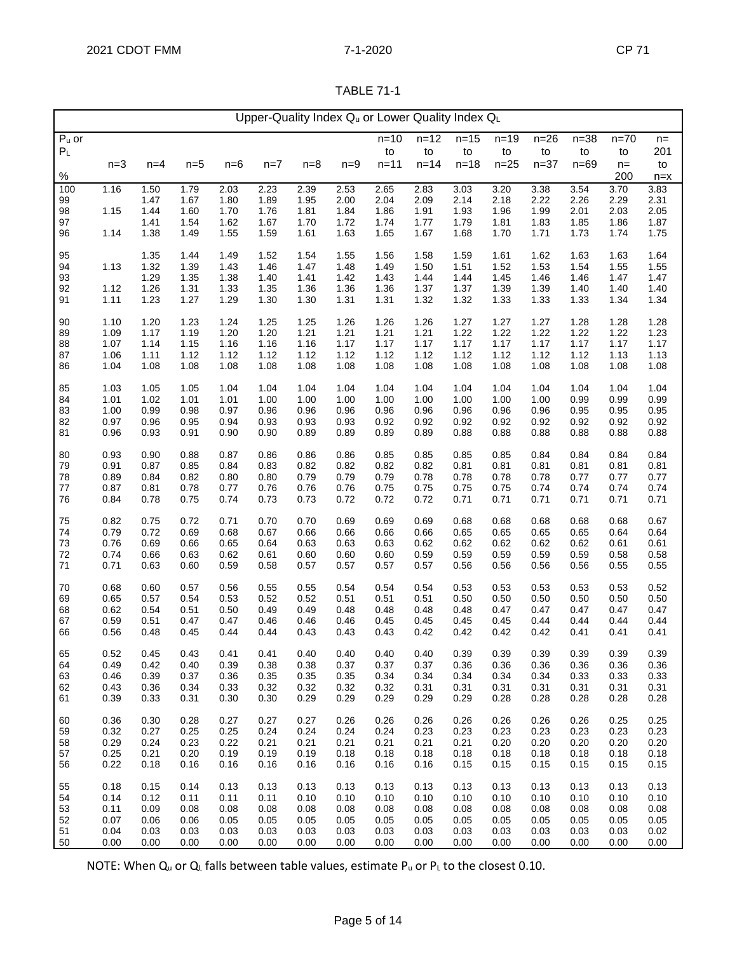| Upper-Quality Index Qu or Lower Quality Index QL |              |              |              |              |              |              |              |              |              |              |              |              |              |              |              |
|--------------------------------------------------|--------------|--------------|--------------|--------------|--------------|--------------|--------------|--------------|--------------|--------------|--------------|--------------|--------------|--------------|--------------|
| $Pu$ or                                          |              |              |              |              |              |              |              | $n = 10$     | $n = 12$     | $n = 15$     | $n=19$       | $n=26$       | $n=38$       | $n = 70$     | $n =$        |
| P <sub>L</sub>                                   |              |              |              |              |              |              |              | to           | to           | to           | to           | to           | to           | to           | 201          |
|                                                  | $n=3$        | $n=4$        | $n=5$        | $n=6$        | $n=7$        | $n=8$        | $n=9$        | $n = 11$     | $n = 14$     | $n = 18$     | $n=25$       | $n = 37$     | $n=69$       | $n =$        | to           |
| $\%$                                             |              |              |              |              |              |              |              |              |              |              |              |              |              | 200          | $n = x$      |
| 100                                              | 1.16         | 1.50         | 1.79         | 2.03         | 2.23         | 2.39         | 2.53         | 2.65         | 2.83         | 3.03         | 3.20         | 3.38         | 3.54         | 3.70         | 3.83         |
| 99                                               |              | 1.47         | 1.67         | 1.80         | 1.89         | 1.95         | 2.00         | 2.04         | 2.09         | 2.14         | 2.18         | 2.22         | 2.26         | 2.29         | 2.31         |
| 98                                               | 1.15         | 1.44         | 1.60         | 1.70         | 1.76         | 1.81         | 1.84         | 1.86         | 1.91         | 1.93         | 1.96         | 1.99         | 2.01         | 2.03         | 2.05         |
| 97                                               |              | 1.41<br>1.38 | 1.54         | 1.62         | 1.67         | 1.70         | 1.72         | 1.74         | 1.77         | 1.79         | 1.81         | 1.83         | 1.85         | 1.86         | 1.87         |
| 96                                               | 1.14         |              | 1.49         | 1.55         | 1.59         | 1.61         | 1.63         | 1.65         | 1.67         | 1.68         | 1.70         | 1.71         | 1.73         | 1.74         | 1.75         |
| 95                                               |              | 1.35         | 1.44         | 1.49         | 1.52         | 1.54         | 1.55         | 1.56         | 1.58         | 1.59         | 1.61         | 1.62         | 1.63         | 1.63         | 1.64         |
| 94                                               | 1.13         | 1.32         | 1.39         | 1.43         | 1.46         | 1.47         | 1.48         | 1.49         | 1.50         | 1.51         | 1.52         | 1.53         | 1.54         | 1.55         | 1.55         |
| 93                                               |              | 1.29         | 1.35         | 1.38         | 1.40         | 1.41         | 1.42         | 1.43         | 1.44         | 1.44         | 1.45         | 1.46         | 1.46         | 1.47         | 1.47         |
| 92                                               | 1.12         | 1.26         | 1.31         | 1.33         | 1.35         | 1.36         | 1.36         | 1.36         | 1.37         | 1.37         | 1.39         | 1.39         | 1.40         | 1.40         | 1.40         |
| 91                                               | 1.11         | 1.23         | 1.27         | 1.29         | 1.30         | 1.30         | 1.31         | 1.31         | 1.32         | 1.32         | 1.33         | 1.33         | 1.33         | 1.34         | 1.34         |
| 90                                               | 1.10         | 1.20         | 1.23         | 1.24         | 1.25         | 1.25         | 1.26         | 1.26         | 1.26         | 1.27         | 1.27         | 1.27         | 1.28         | 1.28         | 1.28         |
| 89                                               | 1.09         | 1.17         | 1.19         | 1.20         | 1.20         | 1.21         | 1.21         | 1.21         | 1.21         | 1.22         | 1.22         | 1.22         | 1.22         | 1.22         | 1.23         |
| 88                                               | 1.07         | 1.14         | 1.15         | 1.16         | 1.16         | 1.16         | 1.17         | 1.17         | 1.17         | 1.17         | 1.17         | 1.17         | 1.17         | 1.17         | 1.17         |
| 87                                               | 1.06         | 1.11         | 1.12         | 1.12         | 1.12         | 1.12         | 1.12         | 1.12         | 1.12         | 1.12         | 1.12         | 1.12         | 1.12         | 1.13         | 1.13         |
| 86                                               | 1.04         | 1.08         | 1.08         | 1.08         | 1.08         | 1.08         | 1.08         | 1.08         | 1.08         | 1.08         | 1.08         | 1.08         | 1.08         | 1.08         | 1.08         |
|                                                  |              |              |              |              |              |              |              |              |              |              |              |              |              |              |              |
| 85                                               | 1.03         | 1.05<br>1.02 | 1.05         | 1.04         | 1.04         | 1.04         | 1.04         | 1.04         | 1.04         | 1.04         | 1.04         | 1.04<br>1.00 | 1.04         | 1.04         | 1.04         |
| 84<br>83                                         | 1.01<br>1.00 | 0.99         | 1.01<br>0.98 | 1.01<br>0.97 | 1.00<br>0.96 | 1.00<br>0.96 | 1.00<br>0.96 | 1.00<br>0.96 | 1.00<br>0.96 | 1.00<br>0.96 | 1.00<br>0.96 | 0.96         | 0.99<br>0.95 | 0.99<br>0.95 | 0.99<br>0.95 |
| 82                                               | 0.97         | 0.96         | 0.95         | 0.94         | 0.93         | 0.93         | 0.93         | 0.92         | 0.92         | 0.92         | 0.92         | 0.92         | 0.92         | 0.92         | 0.92         |
| 81                                               | 0.96         | 0.93         | 0.91         | 0.90         | 0.90         | 0.89         | 0.89         | 0.89         | 0.89         | 0.88         | 0.88         | 0.88         | 0.88         | 0.88         | 0.88         |
|                                                  |              |              |              |              |              |              |              |              |              |              |              |              |              |              |              |
| 80                                               | 0.93         | 0.90         | 0.88         | 0.87         | 0.86         | 0.86         | 0.86         | 0.85         | 0.85         | 0.85         | 0.85         | 0.84         | 0.84         | 0.84         | 0.84         |
| 79                                               | 0.91         | 0.87         | 0.85         | 0.84         | 0.83         | 0.82         | 0.82         | 0.82         | 0.82         | 0.81         | 0.81         | 0.81         | 0.81         | 0.81         | 0.81         |
| 78                                               | 0.89         | 0.84         | 0.82         | 0.80         | 0.80         | 0.79         | 0.79         | 0.79         | 0.78         | 0.78         | 0.78         | 0.78         | 0.77         | 0.77         | 0.77         |
| 77                                               | 0.87         | 0.81         | 0.78         | 0.77         | 0.76         | 0.76         | 0.76         | 0.75         | 0.75         | 0.75         | 0.75         | 0.74         | 0.74         | 0.74         | 0.74         |
| 76                                               | 0.84         | 0.78         | 0.75         | 0.74         | 0.73         | 0.73         | 0.72         | 0.72         | 0.72         | 0.71         | 0.71         | 0.71         | 0.71         | 0.71         | 0.71         |
| 75                                               | 0.82         | 0.75         | 0.72         | 0.71         | 0.70         | 0.70         | 0.69         | 0.69         | 0.69         | 0.68         | 0.68         | 0.68         | 0.68         | 0.68         | 0.67         |
| 74                                               | 0.79         | 0.72         | 0.69         | 0.68         | 0.67         | 0.66         | 0.66         | 0.66         | 0.66         | 0.65         | 0.65         | 0.65         | 0.65         | 0.64         | 0.64         |
| 73                                               | 0.76         | 0.69         | 0.66         | 0.65         | 0.64         | 0.63         | 0.63         | 0.63         | 0.62         | 0.62         | 0.62         | 0.62         | 0.62         | 0.61         | 0.61         |
| 72                                               | 0.74         | 0.66         | 0.63         | 0.62         | 0.61         | 0.60         | 0.60         | 0.60         | 0.59         | 0.59         | 0.59         | 0.59         | 0.59         | 0.58         | 0.58         |
| 71                                               | 0.71         | 0.63         | 0.60         | 0.59         | 0.58         | 0.57         | 0.57         | 0.57         | 0.57         | 0.56         | 0.56         | 0.56         | 0.56         | 0.55         | 0.55         |
| 70                                               | 0.68         | 0.60         | 0.57         | 0.56         | 0.55         | 0.55         | 0.54         | 0.54         | 0.54         | 0.53         | 0.53         | 0.53         | 0.53         | 0.53         | 0.52         |
| 69                                               | 0.65         | 0.57         | 0.54         | 0.53         | 0.52         | 0.52         | 0.51         | 0.51         | 0.51         | 0.50         | 0.50         | 0.50         | 0.50         | 0.50         | 0.50         |
| 68                                               | 0.62         | 0.54         | 0.51         | 0.50         | 0.49         | 0.49         | 0.48         | 0.48         | 0.48         | 0.48         | 0.47         | 0.47         | 0.47         | 0.47         | 0.47         |
| 67                                               | 0.59         | 0.51         | 0.47         | 0.47         | 0.46         | 0.46         | 0.46         | 0.45         | 0.45         | 0.45         | 0.45         | 0.44         | 0.44         | 0.44         | 0.44         |
| 66                                               | 0.56         | 0.48         | 0.45         | 0.44         | 0.44         | 0.43         | 0.43         | 0.43         | 0.42         | 0.42         | 0.42         | 0.42         | 0.41         | 0.41         | 0.41         |
| 65                                               | 0.52         | 0.45         | 0.43         | 0.41         | 0.41         | 0.40         | 0.40         | 0.40         | 0.40         | 0.39         | 0.39         | 0.39         | 0.39         | 0.39         | 0.39         |
| 64                                               | 0.49         | 0.42         | 0.40         | 0.39         | 0.38         | 0.38         | 0.37         | 0.37         | 0.37         | 0.36         | 0.36         | 0.36         | 0.36         | 0.36         | 0.36         |
| 63                                               | 0.46         | 0.39         | 0.37         | 0.36         | 0.35         | 0.35         | 0.35         | 0.34         | 0.34         | 0.34         | 0.34         | 0.34         | 0.33         | 0.33         | 0.33         |
| 62                                               | 0.43         | 0.36         | 0.34         | 0.33         | 0.32         | 0.32         | 0.32         | 0.32         | 0.31         | 0.31         | 0.31         | 0.31         | 0.31         | 0.31         | 0.31         |
| 61                                               | 0.39         | 0.33         | 0.31         | 0.30         | 0.30         | 0.29         | 0.29         | 0.29         | 0.29         | 0.29         | 0.28         | 0.28         | 0.28         | 0.28         | 0.28         |
|                                                  |              |              |              |              |              |              |              |              |              |              |              |              |              |              |              |
| 60                                               | 0.36         | 0.30         | 0.28         | 0.27         | 0.27         | 0.27         | 0.26         | 0.26         | 0.26         | 0.26         | 0.26         | 0.26         | 0.26         | 0.25         | 0.25         |
| 59<br>58                                         | 0.32<br>0.29 | 0.27<br>0.24 | 0.25<br>0.23 | 0.25<br>0.22 | 0.24<br>0.21 | 0.24<br>0.21 | 0.24<br>0.21 | 0.24<br>0.21 | 0.23<br>0.21 | 0.23<br>0.21 | 0.23<br>0.20 | 0.23<br>0.20 | 0.23<br>0.20 | 0.23<br>0.20 | 0.23<br>0.20 |
| 57                                               | 0.25         | 0.21         | 0.20         | 0.19         | 0.19         | 0.19         | 0.18         | 0.18         | 0.18         | 0.18         | 0.18         | 0.18         | 0.18         | 0.18         | 0.18         |
| 56                                               | 0.22         | 0.18         | 0.16         | 0.16         | 0.16         | 0.16         | 0.16         | 0.16         | 0.16         | 0.15         | 0.15         | 0.15         | 0.15         | 0.15         | 0.15         |
|                                                  |              |              |              |              |              |              |              |              |              |              |              |              |              |              |              |
| 55                                               | 0.18         | 0.15         | 0.14         | 0.13         | 0.13         | 0.13         | 0.13         | 0.13         | 0.13         | 0.13         | 0.13         | 0.13         | 0.13         | 0.13         | 0.13         |
| 54                                               | 0.14         | 0.12         | 0.11         | 0.11         | 0.11         | 0.10         | 0.10         | 0.10         | 0.10         | 0.10         | 0.10         | 0.10         | 0.10         | 0.10         | 0.10         |
| 53                                               | 0.11<br>0.07 | 0.09<br>0.06 | 0.08<br>0.06 | 0.08<br>0.05 | 0.08<br>0.05 | 0.08<br>0.05 | 0.08<br>0.05 | 0.08<br>0.05 | 0.08<br>0.05 | 0.08<br>0.05 | 0.08<br>0.05 | 0.08<br>0.05 | 0.08         | 0.08<br>0.05 | 0.08         |
| 52<br>51                                         | 0.04         | 0.03         | 0.03         | 0.03         | 0.03         | 0.03         | 0.03         | 0.03         | 0.03         | 0.03         | 0.03         | 0.03         | 0.05<br>0.03 | 0.03         | 0.05<br>0.02 |
| 50                                               | 0.00         | 0.00         | 0.00         | 0.00         | 0.00         | 0.00         | 0.00         | 0.00         | 0.00         | 0.00         | 0.00         | 0.00         | 0.00         | 0.00         | 0.00         |

NOTE: When  $Q_u$  or  $Q_L$  falls between table values, estimate  $P_u$  or  $P_L$  to the closest 0.10.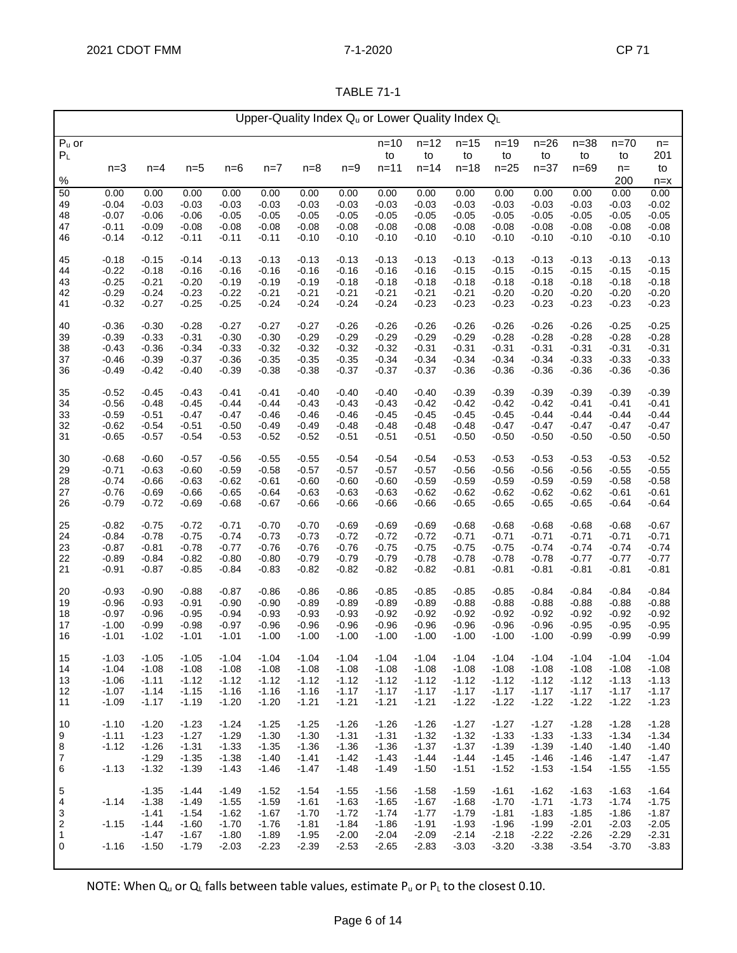| \BL<br>⊷ |  |
|----------|--|
|          |  |

| Upper-Quality Index Qu or Lower Quality Index QL |                    |                    |                    |                    |                    |                    |                    |                    |                    |                    |                    |                    |                    |                    |                    |
|--------------------------------------------------|--------------------|--------------------|--------------------|--------------------|--------------------|--------------------|--------------------|--------------------|--------------------|--------------------|--------------------|--------------------|--------------------|--------------------|--------------------|
| $Pu$ or                                          |                    |                    |                    |                    |                    |                    |                    | $n = 10$           | $n = 12$           | $n = 15$           | $n = 19$           | $n=26$             | $n = 38$           | $n = 70$           | $n =$              |
| $P_L$                                            |                    |                    |                    |                    |                    |                    |                    | to                 | to                 | to                 | to                 | to                 | to                 | to                 | 201                |
| $\%$                                             | $n=3$              | $n=4$              | $n=5$              | $n=6$              | $n=7$              | $n=8$              | $n=9$              | $n = 11$           | $n = 14$           | $n = 18$           | $n = 25$           | $n = 37$           | $n=69$             | $n =$<br>200       | to                 |
| 50                                               | 0.00               | 0.00               | 0.00               | 0.00               | 0.00               | 0.00               | 0.00               | 0.00               | 0.00               | 0.00               | 0.00               | 0.00               | 0.00               | 0.00               | $n = x$<br>0.00    |
| 49                                               | $-0.04$            | $-0.03$            | $-0.03$            | $-0.03$            | $-0.03$            | $-0.03$            | $-0.03$            | $-0.03$            | $-0.03$            | $-0.03$            | $-0.03$            | $-0.03$            | $-0.03$            | $-0.03$            | $-0.02$            |
| 48                                               | $-0.07$            | $-0.06$            | $-0.06$            | $-0.05$            | $-0.05$            | $-0.05$            | $-0.05$            | $-0.05$            | $-0.05$            | $-0.05$            | $-0.05$            | -0.05              | $-0.05$            | $-0.05$            | $-0.05$            |
| 47                                               | $-0.11$<br>$-0.14$ | $-0.09$<br>$-0.12$ | $-0.08$<br>$-0.11$ | $-0.08$<br>$-0.11$ | $-0.08$<br>$-0.11$ | $-0.08$<br>$-0.10$ | $-0.08$<br>$-0.10$ | $-0.08$<br>$-0.10$ | $-0.08$<br>$-0.10$ | $-0.08$            | $-0.08$<br>$-0.10$ | $-0.08$<br>$-0.10$ | $-0.08$<br>$-0.10$ | $-0.08$<br>$-0.10$ | $-0.08$<br>$-0.10$ |
| 46                                               |                    |                    |                    |                    |                    |                    |                    |                    |                    | -0.10              |                    |                    |                    |                    |                    |
| 45                                               | $-0.18$            | $-0.15$            | $-0.14$            | $-0.13$            | $-0.13$            | $-0.13$            | $-0.13$            | $-0.13$            | $-0.13$            | $-0.13$            | $-0.13$            | $-0.13$            | $-0.13$            | $-0.13$            | $-0.13$            |
| 44<br>43                                         | $-0.22$<br>$-0.25$ | $-0.18$<br>$-0.21$ | $-0.16$<br>$-0.20$ | $-0.16$<br>$-0.19$ | $-0.16$<br>$-0.19$ | $-0.16$<br>$-0.19$ | $-0.16$<br>$-0.18$ | $-0.16$<br>$-0.18$ | $-0.16$<br>$-0.18$ | $-0.15$<br>$-0.18$ | $-0.15$<br>$-0.18$ | $-0.15$<br>$-0.18$ | $-0.15$<br>$-0.18$ | $-0.15$<br>$-0.18$ | $-0.15$<br>$-0.18$ |
| 42                                               | $-0.29$            | $-0.24$            | $-0.23$            | $-0.22$            | $-0.21$            | $-0.21$            | $-0.21$            | $-0.21$            | $-0.21$            | $-0.21$            | $-0.20$            | $-0.20$            | $-0.20$            | $-0.20$            | $-0.20$            |
| 41                                               | $-0.32$            | $-0.27$            | $-0.25$            | $-0.25$            | $-0.24$            | $-0.24$            | $-0.24$            | $-0.24$            | $-0.23$            | $-0.23$            | $-0.23$            | $-0.23$            | $-0.23$            | $-0.23$            | $-0.23$            |
| 40                                               | $-0.36$            | $-0.30$            | $-0.28$            | $-0.27$            | $-0.27$            | $-0.27$            | $-0.26$            | $-0.26$            | $-0.26$            | $-0.26$            | $-0.26$            | $-0.26$            | $-0.26$            | $-0.25$            | $-0.25$            |
| 39                                               | $-0.39$            | $-0.33$            | $-0.31$            | $-0.30$            | $-0.30$            | $-0.29$            | $-0.29$            | $-0.29$            | $-0.29$            | $-0.29$            | $-0.28$            | $-0.28$            | $-0.28$            | $-0.28$            | $-0.28$            |
| 38                                               | $-0.43$            | $-0.36$            | $-0.34$            | $-0.33$            | $-0.32$            | $-0.32$            | $-0.32$            | $-0.32$            | $-0.31$            | $-0.31$            | $-0.31$            | $-0.31$            | $-0.31$            | $-0.31$            | $-0.31$            |
| 37<br>36                                         | $-0.46$<br>$-0.49$ | $-0.39$<br>$-0.42$ | $-0.37$<br>$-0.40$ | $-0.36$<br>$-0.39$ | $-0.35$<br>$-0.38$ | -0.35<br>$-0.38$   | $-0.35$<br>$-0.37$ | $-0.34$<br>$-0.37$ | $-0.34$<br>$-0.37$ | $-0.34$<br>$-0.36$ | $-0.34$<br>$-0.36$ | $-0.34$<br>$-0.36$ | $-0.33$<br>$-0.36$ | $-0.33$<br>$-0.36$ | $-0.33$<br>$-0.36$ |
|                                                  |                    |                    |                    |                    |                    |                    |                    |                    |                    |                    |                    |                    |                    |                    |                    |
| 35<br>34                                         | $-0.52$<br>$-0.56$ | $-0.45$<br>$-0.48$ | $-0.43$<br>$-0.45$ | $-0.41$<br>$-0.44$ | $-0.41$<br>$-0.44$ | $-0.40$<br>$-0.43$ | $-0.40$<br>$-0.43$ | $-0.40$<br>$-0.43$ | $-0.40$<br>$-0.42$ | $-0.39$<br>$-0.42$ | $-0.39$<br>$-0.42$ | $-0.39$<br>$-0.42$ | $-0.39$<br>$-0.41$ | $-0.39$<br>$-0.41$ | $-0.39$<br>$-0.41$ |
| 33                                               | $-0.59$            | $-0.51$            | $-0.47$            | $-0.47$            | $-0.46$            | $-0.46$            | $-0.46$            | $-0.45$            | $-0.45$            | $-0.45$            | $-0.45$            | $-0.44$            | $-0.44$            | $-0.44$            | $-0.44$            |
| 32                                               | $-0.62$            | $-0.54$            | $-0.51$            | $-0.50$            | $-0.49$            | $-0.49$            | $-0.48$            | $-0.48$            | $-0.48$            | $-0.48$            | $-0.47$            | $-0.47$            | $-0.47$            | $-0.47$            | $-0.47$            |
| 31                                               | $-0.65$            | $-0.57$            | $-0.54$            | $-0.53$            | $-0.52$            | $-0.52$            | $-0.51$            | $-0.51$            | $-0.51$            | $-0.50$            | $-0.50$            | $-0.50$            | $-0.50$            | $-0.50$            | $-0.50$            |
| 30                                               | $-0.68$            | $-0.60$            | $-0.57$            | $-0.56$            | $-0.55$            | $-0.55$            | $-0.54$            | $-0.54$            | $-0.54$            | $-0.53$            | $-0.53$            | $-0.53$            | $-0.53$            | $-0.53$            | $-0.52$            |
| 29                                               | $-0.71$            | $-0.63$            | $-0.60$            | $-0.59$            | $-0.58$            | $-0.57$            | $-0.57$            | $-0.57$            | $-0.57$            | $-0.56$            | $-0.56$            | $-0.56$            | $-0.56$            | $-0.55$            | $-0.55$            |
| 28<br>27                                         | $-0.74$<br>$-0.76$ | $-0.66$<br>$-0.69$ | $-0.63$<br>$-0.66$ | $-0.62$<br>$-0.65$ | $-0.61$<br>$-0.64$ | $-0.60$<br>$-0.63$ | $-0.60$<br>$-0.63$ | $-0.60$<br>$-0.63$ | $-0.59$<br>$-0.62$ | $-0.59$<br>$-0.62$ | $-0.59$<br>$-0.62$ | $-0.59$<br>$-0.62$ | $-0.59$<br>$-0.62$ | $-0.58$<br>$-0.61$ | $-0.58$<br>$-0.61$ |
| 26                                               | $-0.79$            | $-0.72$            | $-0.69$            | $-0.68$            | $-0.67$            | -0.66              | $-0.66$            | $-0.66$            | $-0.66$            | $-0.65$            | $-0.65$            | $-0.65$            | $-0.65$            | $-0.64$            | $-0.64$            |
| 25                                               | $-0.82$            | $-0.75$            | $-0.72$            | $-0.71$            | $-0.70$            | $-0.70$            | $-0.69$            | $-0.69$            | $-0.69$            |                    | $-0.68$            | $-0.68$            | $-0.68$            | $-0.68$            | $-0.67$            |
| 24                                               | $-0.84$            | $-0.78$            | $-0.75$            | -0.74              | $-0.73$            | -0.73              | $-0.72$            | $-0.72$            | $-0.72$            | $-0.68$<br>$-0.71$ | $-0.71$            | $-0.71$            | $-0.71$            | $-0.71$            | $-0.71$            |
| 23                                               | $-0.87$            | $-0.81$            | $-0.78$            | $-0.77$            | $-0.76$            | $-0.76$            | $-0.76$            | $-0.75$            | $-0.75$            | $-0.75$            | $-0.75$            | $-0.74$            | $-0.74$            | $-0.74$            | $-0.74$            |
| 22                                               | $-0.89$            | $-0.84$            | $-0.82$            | $-0.80$            | $-0.80$            | $-0.79$            | $-0.79$            | $-0.79$            | $-0.78$            | $-0.78$            | $-0.78$            | $-0.78$            | $-0.77$            | $-0.77$            | $-0.77$            |
| 21                                               | $-0.91$            | $-0.87$            | $-0.85$            | $-0.84$            | $-0.83$            | $-0.82$            | $-0.82$            | $-0.82$            | $-0.82$            | -0.81              | $-0.81$            | $-0.81$            | $-0.81$            | $-0.81$            | $-0.81$            |
| 20                                               | $-0.93$            | $-0.90$            | $-0.88$            | $-0.87$            | $-0.86$            | $-0.86$            | $-0.86$            | $-0.85$            | $-0.85$            | $-0.85$            | $-0.85$            | $-0.84$            | $-0.84$            | $-0.84$            | $-0.84$            |
| 19                                               | $-0.96$            | $-0.93$            | $-0.91$            | $-0.90$            | $-0.90$            | $-0.89$            | $-0.89$            | $-0.89$            | $-0.89$            | $-0.88$            | $-0.88$            | $-0.88$            | $-0.88$            | $-0.88$            | $-0.88$            |
| 18<br>17                                         | $-0.97$<br>$-1.00$ | $-0.96$<br>$-0.99$ | $-0.95$<br>$-0.98$ | $-0.94$<br>$-0.97$ | $-0.93$<br>$-0.96$ | $-0.93$<br>$-0.96$ | $-0.93$<br>$-0.96$ | $-0.92$<br>$-0.96$ | $-0.92$<br>$-0.96$ | $-0.92$<br>$-0.96$ | $-0.92$<br>$-0.96$ | $-0.92$<br>$-0.96$ | $-0.92$<br>$-0.95$ | $-0.92$<br>$-0.95$ | $-0.92$<br>$-0.95$ |
| 16                                               | $-1.01$            | $-1.02$            | $-1.01$            | $-1.01$            | $-1.00$            | $-1.00$            | $-1.00$            | $-1.00$            | $-1.00$            | $-1.00$            | $-1.00$            | $-1.00$            | $-0.99$            | $-0.99$            | $-0.99$            |
| 15                                               | $-1.03$            | $-1.05$            | $-1.05$            | $-1.04$            | $-1.04$            | $-1.04$            | $-1.04$            | $-1.04$            | $-1.04$            | $-1.04$            | $-1.04$            | $-1.04$            | $-1.04$            | $-1.04$            | $-1.04$            |
| 14                                               | $-1.04$            | $-1.08$            | $-1.08$            | $-1.08$            | $-1.08$            | $-1.08$            | $-1.08$            | $-1.08$            | $-1.08$            | $-1.08$            | $-1.08$            | $-1.08$            | $-1.08$            | $-1.08$            | $-1.08$            |
| 13                                               | $-1.06$            | $-1.11$            | $-1.12$            | $-1.12$            | $-1.12$            | $-1.12$            | $-1.12$            | $-1.12$            | $-1.12$            | $-1.12$            | $-1.12$            | $-1.12$            | $-1.12$            | $-1.13$            | $-1.13$            |
| 12<br>11                                         | $-1.07$<br>$-1.09$ | $-1.14$<br>$-1.17$ | $-1.15$<br>$-1.19$ | $-1.16$<br>$-1.20$ | $-1.16$<br>$-1.20$ | $-1.16$<br>$-1.21$ | $-1.17$<br>$-1.21$ | $-1.17$<br>$-1.21$ | $-1.17$<br>$-1.21$ | $-1.17$<br>$-1.22$ | $-1.17$<br>$-1.22$ | $-1.17$<br>$-1.22$ | $-1.17$<br>$-1.22$ | $-1.17$<br>$-1.22$ | $-1.17$<br>$-1.23$ |
|                                                  |                    |                    |                    |                    |                    |                    |                    |                    |                    |                    |                    |                    |                    |                    |                    |
| 10<br>9                                          | $-1.10$<br>$-1.11$ | $-1.20$<br>$-1.23$ | $-1.23$<br>$-1.27$ | $-1.24$<br>$-1.29$ | $-1.25$<br>$-1.30$ | $-1.25$<br>$-1.30$ | $-1.26$<br>$-1.31$ | $-1.26$<br>$-1.31$ | $-1.26$<br>$-1.32$ | $-1.27$<br>$-1.32$ | $-1.27$<br>$-1.33$ | $-1.27$<br>$-1.33$ | $-1.28$<br>$-1.33$ | $-1.28$<br>$-1.34$ | $-1.28$<br>$-1.34$ |
| 8                                                | $-1.12$            | $-1.26$            | $-1.31$            | $-1.33$            | $-1.35$            | $-1.36$            | $-1.36$            | $-1.36$            | $-1.37$            | $-1.37$            | $-1.39$            | $-1.39$            | $-1.40$            | $-1.40$            | $-1.40$            |
| $\overline{7}$                                   |                    | $-1.29$            | $-1.35$            | $-1.38$            | $-1.40$            | $-1.41$            | $-1.42$            | $-1.43$            | $-1.44$            | $-1.44$            | $-1.45$            | $-1.46$            | $-1.46$            | $-1.47$            | $-1.47$            |
| 6                                                | $-1.13$            | $-1.32$            | $-1.39$            | $-1.43$            | $-1.46$            | $-1.47$            | $-1.48$            | $-1.49$            | $-1.50$            | $-1.51$            | $-1.52$            | $-1.53$            | $-1.54$            | $-1.55$            | $-1.55$            |
| 5                                                |                    | $-1.35$            | $-1.44$            | $-1.49$            | $-1.52$            | $-1.54$            | $-1.55$            | $-1.56$            | $-1.58$            | $-1.59$            | $-1.61$            | $-1.62$            | $-1.63$            | $-1.63$            | $-1.64$            |
| 4<br>3                                           | $-1.14$            | $-1.38$<br>$-1.41$ | $-1.49$<br>$-1.54$ | $-1.55$<br>$-1.62$ | $-1.59$<br>$-1.67$ | $-1.61$<br>$-1.70$ | $-1.63$<br>$-1.72$ | $-1.65$<br>$-1.74$ | $-1.67$<br>$-1.77$ | $-1.68$<br>$-1.79$ | $-1.70$<br>$-1.81$ | $-1.71$<br>$-1.83$ | $-1.73$<br>$-1.85$ | $-1.74$<br>$-1.86$ | $-1.75$<br>$-1.87$ |
| 2                                                | $-1.15$            | $-1.44$            | $-1.60$            | $-1.70$            | $-1.76$            | $-1.81$            | $-1.84$            | $-1.86$            | $-1.91$            | $-1.93$            | $-1.96$            | $-1.99$            | $-2.01$            | $-2.03$            | $-2.05$            |
| 1                                                |                    | $-1.47$            | $-1.67$            | $-1.80$            | $-1.89$            | $-1.95$            | $-2.00$            | $-2.04$            | $-2.09$            | -2.14              | $-2.18$            | $-2.22$            | $-2.26$            | $-2.29$            | $-2.31$            |
| 0                                                | $-1.16$            | $-1.50$            | $-1.79$            | $-2.03$            | $-2.23$            | $-2.39$            | $-2.53$            | $-2.65$            | $-2.83$            | $-3.03$            | $-3.20$            | $-3.38$            | $-3.54$            | $-3.70$            | $-3.83$            |
|                                                  |                    |                    |                    |                    |                    |                    |                    |                    |                    |                    |                    |                    |                    |                    |                    |

NOTE: When  $Q_u$  or  $Q_L$  falls between table values, estimate  $P_u$  or  $P_L$  to the closest 0.10.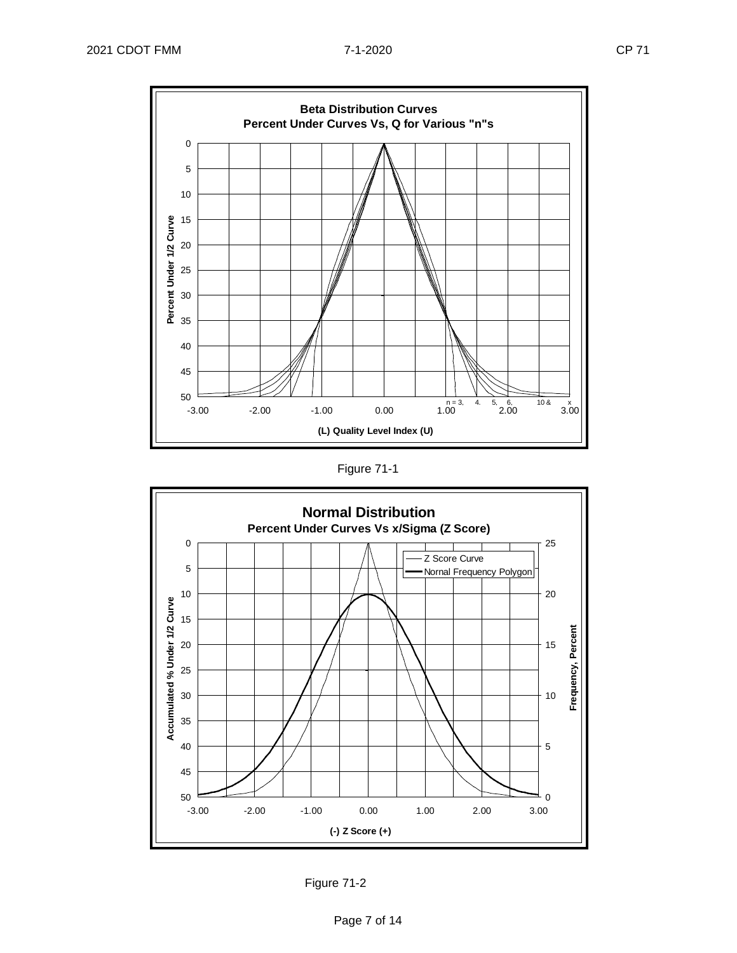





Figure 71-2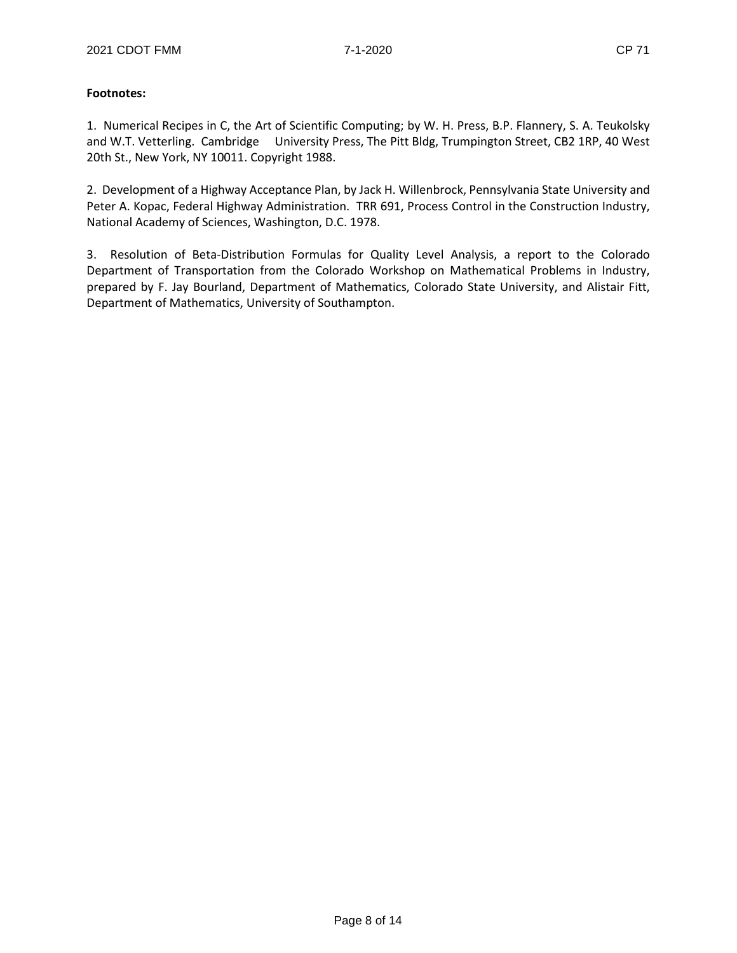#### **Footnotes:**

1. Numerical Recipes in C, the Art of Scientific Computing; by W. H. Press, B.P. Flannery, S. A. Teukolsky and W.T. Vetterling. Cambridge University Press, The Pitt Bldg, Trumpington Street, CB2 1RP, 40 West 20th St., New York, NY 10011. Copyright 1988.

2. Development of a Highway Acceptance Plan, by Jack H. Willenbrock, Pennsylvania State University and Peter A. Kopac, Federal Highway Administration. TRR 691, Process Control in the Construction Industry, National Academy of Sciences, Washington, D.C. 1978.

3. Resolution of Beta-Distribution Formulas for Quality Level Analysis, a report to the Colorado Department of Transportation from the Colorado Workshop on Mathematical Problems in Industry, prepared by F. Jay Bourland, Department of Mathematics, Colorado State University, and Alistair Fitt, Department of Mathematics, University of Southampton.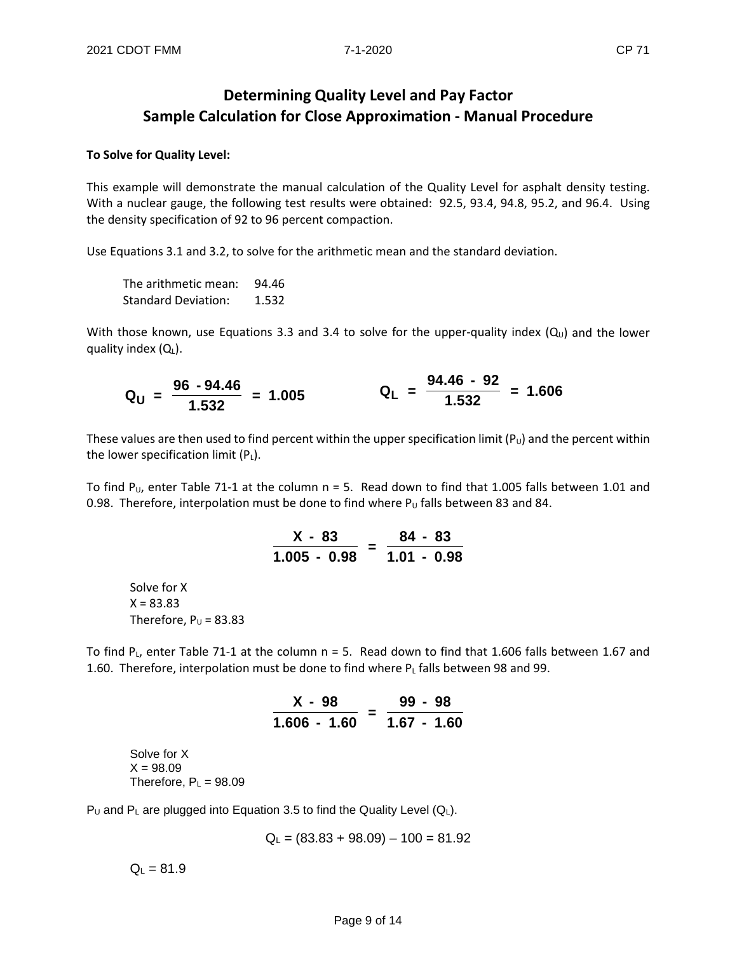# **Determining Quality Level and Pay Factor Sample Calculation for Close Approximation - Manual Procedure**

#### **To Solve for Quality Level:**

This example will demonstrate the manual calculation of the Quality Level for asphalt density testing. With a nuclear gauge, the following test results were obtained: 92.5, 93.4, 94.8, 95.2, and 96.4. Using the density specification of 92 to 96 percent compaction.

Use Equations 3.1 and 3.2, to solve for the arithmetic mean and the standard deviation.

The arithmetic mean: 94.46 Standard Deviation: 1.532

With those known, use Equations 3.3 and 3.4 to solve for the upper-quality index  $(Q_u)$  and the lower quality index  $(Q_L)$ .

$$
Q_{U} = \frac{96 - 94.46}{1.532} = 1.005
$$
 
$$
Q_{L} = \frac{94.46 - 92}{1.532} = 1.606
$$

These values are then used to find percent within the upper specification limit  $(P_U)$  and the percent within the lower specification limit  $(P_L)$ .

To find P<sub>U</sub>, enter Table 71-1 at the column  $n = 5$ . Read down to find that 1.005 falls between 1.01 and 0.98. Therefore, interpolation must be done to find where  $P_U$  falls between 83 and 84.

$$
\frac{X - 83}{1.005 - 0.98} = \frac{84 - 83}{1.01 - 0.98}
$$

Solve for X  $X = 83.83$ Therefore,  $P_U = 83.83$ 

To find P<sub>L</sub>, enter Table 71-1 at the column  $n = 5$ . Read down to find that 1.606 falls between 1.67 and 1.60. Therefore, interpolation must be done to find where  $P<sub>L</sub>$  falls between 98 and 99.

| X - 98       |   |             | $99 - 98$ |  |
|--------------|---|-------------|-----------|--|
| 1.606 - 1.60 | - | 1.67 - 1.60 |           |  |

Solve for X  $X = 98.09$ Therefore,  $P_L = 98.09$ 

P<sub>U</sub> and P<sub>L</sub> are plugged into Equation 3.5 to find the Quality Level ( $Q_L$ ).

$$
Q_L = (83.83 + 98.09) - 100 = 81.92
$$

 $Q_L = 81.9$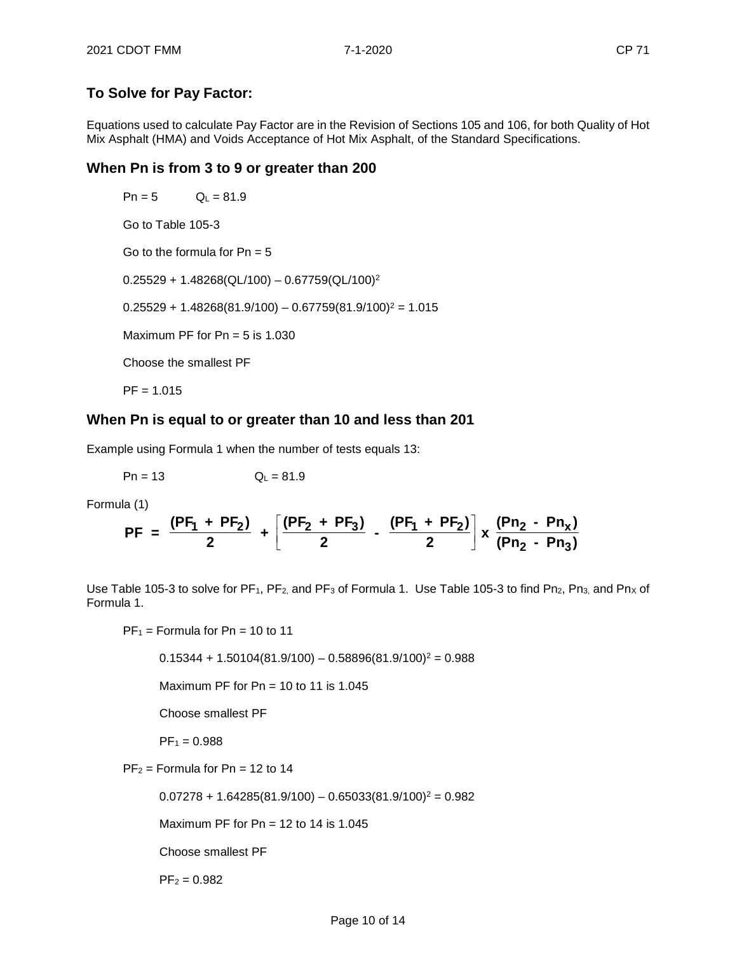## **To Solve for Pay Factor:**

Equations used to calculate Pay Factor are in the Revision of Sections 105 and 106, for both Quality of Hot Mix Asphalt (HMA) and Voids Acceptance of Hot Mix Asphalt, of the Standard Specifications.

## **When Pn is from 3 to 9 or greater than 200**

 $Pn = 5$   $Q_L = 81.9$ Go to Table 105-3 Go to the formula for  $Pn = 5$  $0.25529 + 1.48268(QL/100) - 0.67759(QL/100)^2$  $0.25529 + 1.48268(81.9/100) - 0.67759(81.9/100)^{2} = 1.015$ Maximum PF for  $Pn = 5$  is 1.030 Choose the smallest PF  $PF = 1.015$ 

## **When Pn is equal to or greater than 10 and less than 201**

Example using Formula 1 when the number of tests equals 13:

 $Pn = 13$   $Q_L = 81.9$ 

Formula (1)

$$
PF = \frac{(PF_1 + PF_2)}{2} + \left[ \frac{(PF_2 + PF_3)}{2} - \frac{(PF_1 + PF_2)}{2} \right] x \frac{(Pn_2 - Pn_x)}{(Pn_2 - Pn_3)}
$$

Use Table 105-3 to solve for PF<sub>1</sub>, PF<sub>2</sub>, and PF<sub>3</sub> of Formula 1. Use Table 105-3 to find Pn<sub>2</sub>, Pn<sub>3</sub>, and Pn<sub>x</sub> of Formula 1.

 $PF_1$  = Formula for Pn = 10 to 11

 $0.15344 + 1.50104(81.9/100) - 0.58896(81.9/100)^{2} = 0.988$ 

Maximum PF for  $Pn = 10$  to 11 is 1.045

Choose smallest PF

 $PF_1 = 0.988$ 

 $PF_2$  = Formula for Pn = 12 to 14

 $0.07278 + 1.64285(81.9/100) - 0.65033(81.9/100)^2 = 0.982$ 

Maximum PF for  $Pn = 12$  to 14 is 1.045

Choose smallest PF

 $PF_2 = 0.982$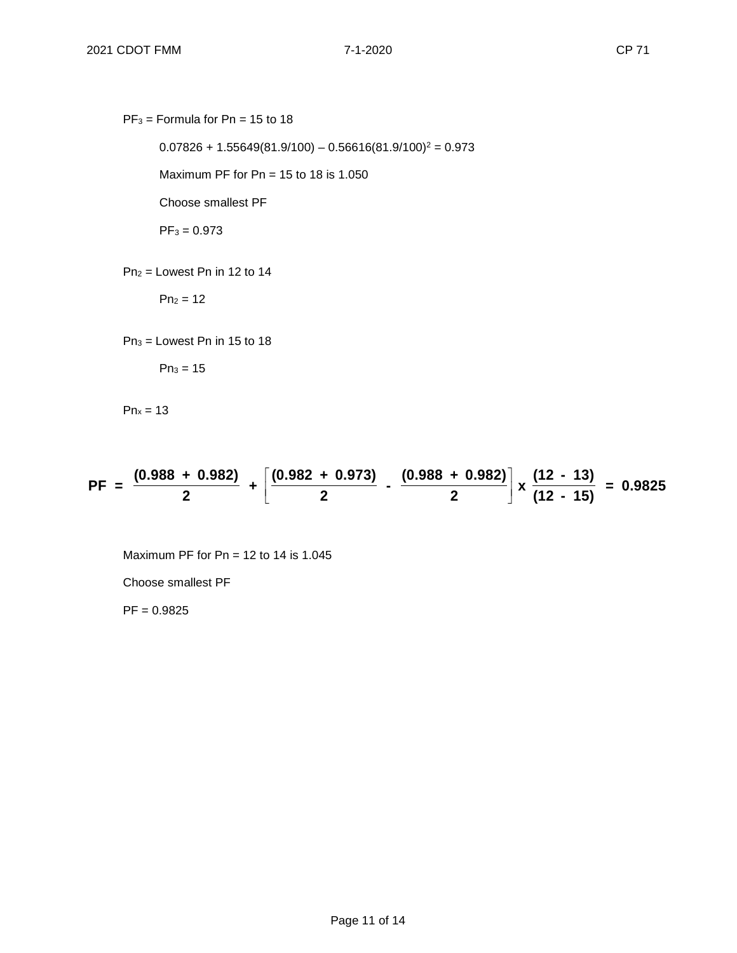$PF_3$  = Formula for Pn = 15 to 18

 $0.07826 + 1.55649(81.9/100) - 0.56616(81.9/100)^2 = 0.973$ 

Maximum PF for  $Pn = 15$  to 18 is 1.050

Choose smallest PF

 $PF_3 = 0.973$ 

 $Pn<sub>2</sub> =$  Lowest Pn in 12 to 14

 $Pn_2 = 12$ 

 $Pn_3 =$  Lowest Pn in 15 to 18

 $Pn_3 = 15$ 

 $Pn_x = 13$ 

$$
PF = \frac{(0.988 + 0.982)}{2} + \left[\frac{(0.982 + 0.973)}{2} - \frac{(0.988 + 0.982)}{2}\right] \times \frac{(12 - 13)}{(12 - 15)} = 0.9825
$$

Maximum PF for  $Pn = 12$  to 14 is 1.045

Choose smallest PF

 $PF = 0.9825$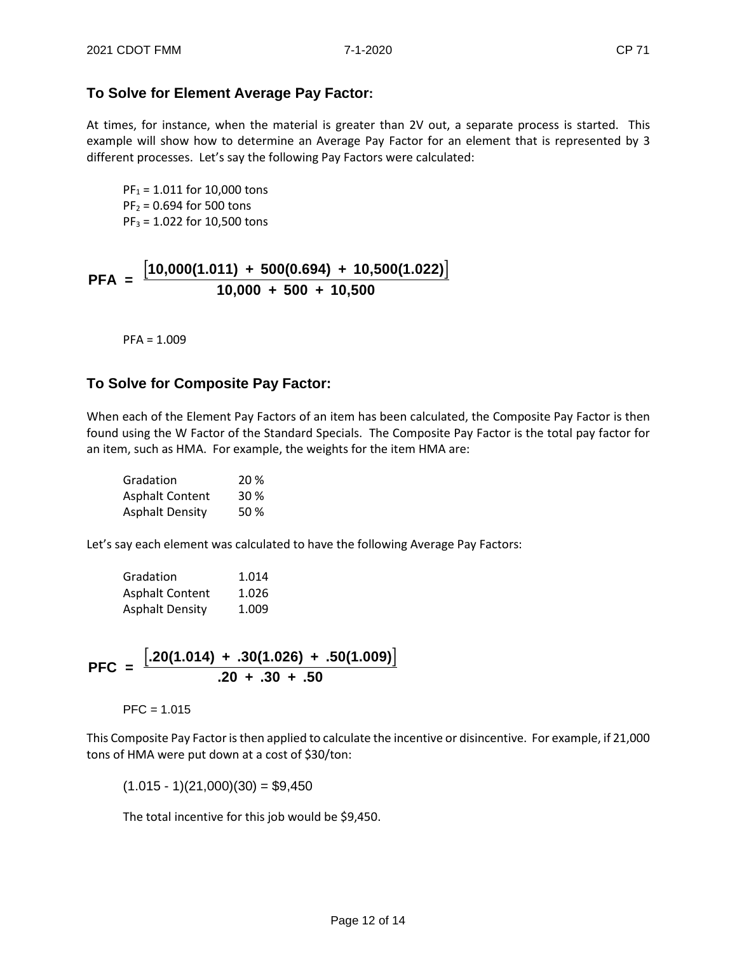## **To Solve for Element Average Pay Factor:**

At times, for instance, when the material is greater than 2V out, a separate process is started. This example will show how to determine an Average Pay Factor for an element that is represented by 3 different processes. Let's say the following Pay Factors were calculated:

 $PF_1 = 1.011$  for 10,000 tons  $PF_2 = 0.694$  for 500 tons  $PF_3 = 1.022$  for 10,500 tons

$$
PFA = \frac{[10,000(1.011) + 500(0.694) + 10,500(1.022)]}{10,000 + 500 + 10,500}
$$

PFA = 1.009

## **To Solve for Composite Pay Factor:**

When each of the Element Pay Factors of an item has been calculated, the Composite Pay Factor is then found using the W Factor of the Standard Specials. The Composite Pay Factor is the total pay factor for an item, such as HMA. For example, the weights for the item HMA are:

| Gradation              | 20%  |
|------------------------|------|
| <b>Asphalt Content</b> | 30 % |
| <b>Asphalt Density</b> | 50%  |

Let's say each element was calculated to have the following Average Pay Factors:

| Gradation              | 1.014 |
|------------------------|-------|
| <b>Asphalt Content</b> | 1.026 |
| <b>Asphalt Density</b> | 1.009 |

$$
PFC = \frac{[.20(1.014) + .30(1.026) + .50(1.009)]}{.20 + .30 + .50}
$$

 $PFC = 1.015$ 

This Composite Pay Factor is then applied to calculate the incentive or disincentive. For example, if 21,000 tons of HMA were put down at a cost of \$30/ton:

 $(1.015 - 1)(21,000)(30) = $9,450$ 

The total incentive for this job would be \$9,450.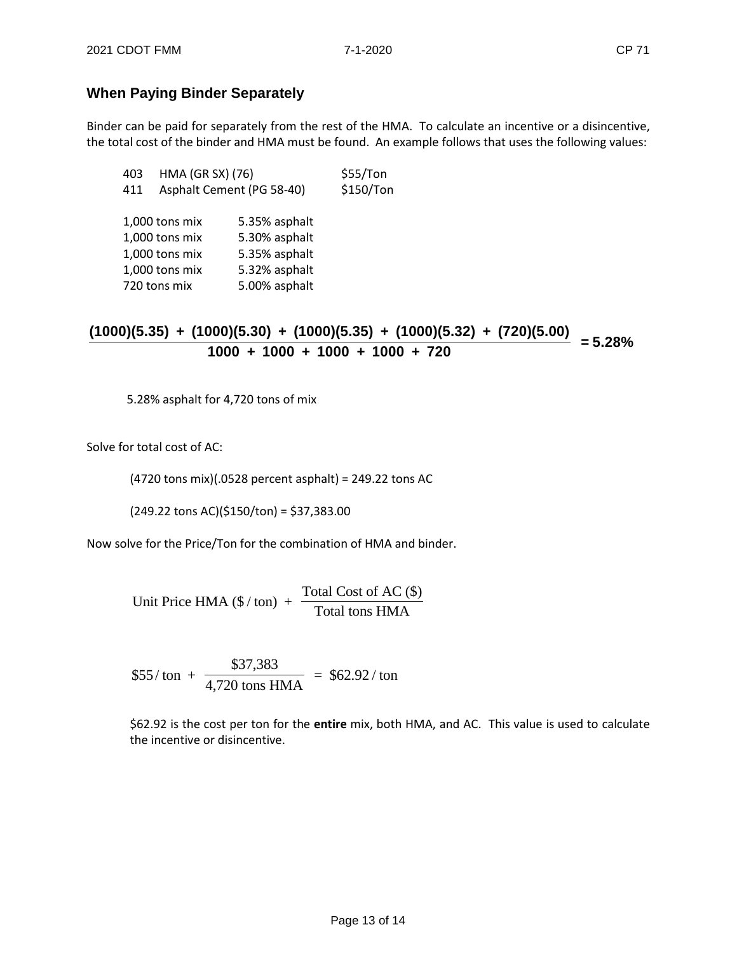## **When Paying Binder Separately**

Binder can be paid for separately from the rest of the HMA. To calculate an incentive or a disincentive, the total cost of the binder and HMA must be found. An example follows that uses the following values:

| 403 | HMA (GR SX) (76)          |               | \$55/Ton  |
|-----|---------------------------|---------------|-----------|
| 411 | Asphalt Cement (PG 58-40) |               | \$150/Ton |
|     |                           |               |           |
|     | 1,000 tons mix            | 5.35% asphalt |           |
|     | 1,000 tons mix            | 5.30% asphalt |           |
|     | 1,000 tons mix            | 5.35% asphalt |           |
|     | 1,000 tons mix            | 5.32% asphalt |           |
|     | 720 tons mix              | 5.00% asphalt |           |
|     |                           |               |           |

# **(1000)(5.35) + (1000)(5.30) + (1000)(5.35) + (1000)(5.32) + (720)(5.00)**  $\frac{1000 + 1000 + 1000 + 1000 + 720}{}$  = **5.28%**

5.28% asphalt for 4,720 tons of mix

Solve for total cost of AC:

(4720 tons mix)(.0528 percent asphalt) = 249.22 tons AC

(249.22 tons AC)(\$150/ton) = \$37,383.00

Now solve for the Price/Ton for the combination of HMA and binder.

Unit Price HMA  $(\frac{6}{\text{ton}})$  + Total Cost of AC (\$) Total tons HMA

 $$55/ton +$ \$37,383  $\frac{404}{4,720 \text{ tons HMA}}$  = \$62.92/ton

\$62.92 is the cost per ton for the **entire** mix, both HMA, and AC. This value is used to calculate the incentive or disincentive.